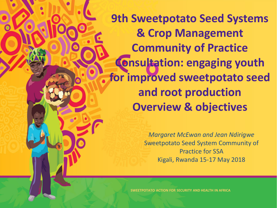**9th Sweetpotato Seed Systems & Crop Management Community of Practice Consultation: engaging youth for improved sweetpotato seed and root production Overview & objectives**

> *Margaret McEwan and Jean Ndirigwe* Sweetpotato Seed System Community of Practice for SSA Kigali, Rwanda 15-17 May 2018

**SWEETPOTATO ACTION FOR SECURITY AND HEALTH IN AFRICA**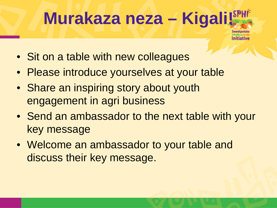# **Murakaza neza – Kigali!**

- Sit on a table with new colleagues
- Please introduce yourselves at your table
- Share an inspiring story about youth engagement in agri business
- Send an ambassador to the next table with your key message
- Welcome an ambassador to your table and discuss their key message.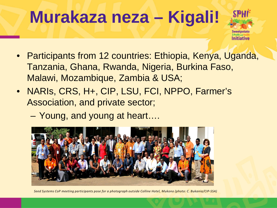### **Murakaza neza – Kigali!**



- Participants from 12 countries: Ethiopia, Kenya, Uganda, Tanzania, Ghana, Rwanda, Nigeria, Burkina Faso, Malawi, Mozambique, Zambia & USA;
- NARIs, CRS, H+, CIP, LSU, FCI, NPPO, Farmer's Association, and private sector;
	- Young, and young at heart….



*Seed Systems CoP meeting participants pose for a photograph outside Colline Hotel, Mukono (photo: C. Bukania/CIP-SSA)*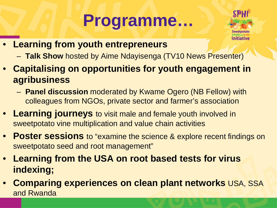# **Programme…**



- **Learning from youth entrepreneurs**
	- **Talk Show** hosted by Aime Ndayisenga (TV10 News Presenter)
- **Capitalising on opportunities for youth engagement in agribusiness**
	- **Panel discussion** moderated by Kwame Ogero (NB Fellow) with colleagues from NGOs, private sector and farmer's association
- **Learning journeys** to visit male and female youth involved in sweetpotato vine multiplication and value chain activities
- **Poster sessions** to "examine the science & explore recent findings on sweetpotato seed and root management"
- **Learning from the USA on root based tests for virus indexing;**
- **Comparing experiences on clean plant networks** USA, SSA and Rwanda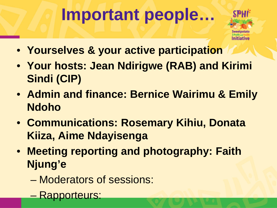## **Important people…**



- **Yourselves & your active participation**
- **Your hosts: Jean Ndirigwe (RAB) and Kirimi Sindi (CIP)**
- **Admin and finance: Bernice Wairimu & Emily Ndoho**
- **Communications: Rosemary Kihiu, Donata Kiiza, Aime Ndayisenga**
- **Meeting reporting and photography: Faith Njung'e**
	- Moderators of sessions:
	- Rapporteurs: